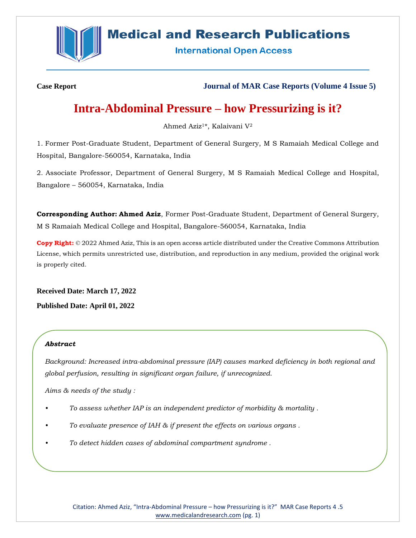

# **Medical and Research Publications**

**International Open Access** 

**Case Report Journal of MAR Case Reports (Volume 4 Issue 5)**

# **Intra-Abdominal Pressure – how Pressurizing is it?**

Ahmed Aziz1\*, Kalaivani V<sup>2</sup>

1. Former Post-Graduate Student, Department of General Surgery, M S Ramaiah Medical College and Hospital, Bangalore-560054, Karnataka, India

2. Associate Professor, Department of General Surgery, M S Ramaiah Medical College and Hospital, Bangalore – 560054, Karnataka, India

**Corresponding Author: Ahmed Aziz**, Former Post-Graduate Student, Department of General Surgery, M S Ramaiah Medical College and Hospital, Bangalore-560054, Karnataka, India

**Copy Right:** © 2022 Ahmed Aziz, This is an open access article distributed under the Creative Commons Attribution License, which permits unrestricted use, distribution, and reproduction in any medium, provided the original work is properly cited.

**Received Date: March 17, 2022 Published Date: April 01, 2022**

# *Abstract*

*Background: Increased intra-abdominal pressure (IAP) causes marked deficiency in both regional and global perfusion, resulting in significant organ failure, if unrecognized.* 

*Aims & needs of the study :*

- *• To assess whether IAP is an independent predictor of morbidity & mortality .*
- *• To evaluate presence of IAH & if present the effects on various organs .*
- *• To detect hidden cases of abdominal compartment syndrome .*

Citation: Ahmed Aziz, "Intra-Abdominal Pressure – how Pressurizing is it?" MAR Case Reports 4 .5 [www.medicalandresearch.com](http://www.medicalandresearch.com/) (pg. 1)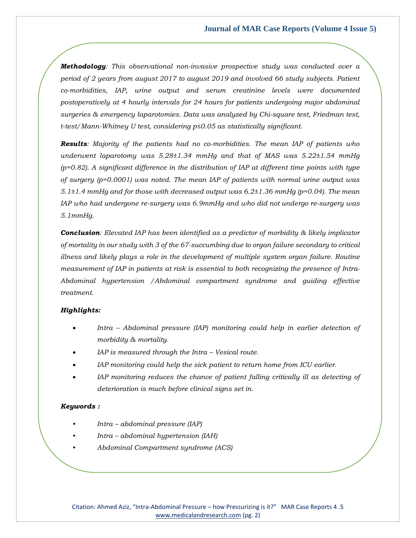*Methodology: This observational non-invasive prospective study was conducted over a period of 2 years from august 2017 to august 2019 and involved 66 study subjects. Patient co-morbidities, IAP, urine output and serum creatinine levels were documented postoperatively at 4 hourly intervals for 24 hours for patients undergoing major abdominal surgeries & emergency laparotomies. Data was analyzed by Chi-square test, Friedman test, t-test/Mann-Whitney U test, considering p≤0.05 as statistically significant.*

*Results: Majority of the patients had no co-morbidities. The mean IAP of patients who underwent laparotomy was 5.28±1.34 mmHg and that of MAS was 5.22±1.54 mmHg (p=0.82). A significant difference in the distribution of IAP at different time points with type of surgery (p=0.0001) was noted. The mean IAP of patients with normal urine output was 5.1±1.4 mmHg and for those with decreased output was 6.2±1.36 mmHg (p=0.04). The mean IAP who had undergone re-surgery was 6.9mmHg and who did not undergo re-surgery was 5.1mmHg.*

*Conclusion: Elevated IAP has been identified as a predictor of morbidity & likely implicator of mortality in our study with 3 of the 67-succumbing due to organ failure secondary to critical*  illness and likely plays a role in the development of multiple system organ failure. Routine *measurement of IAP in patients at risk is essential to both recognizing the presence of Intra-Abdominal hypertension /Abdominal compartment syndrome and guiding effective treatment.*

### *Highlights:*

- *Intra – Abdominal pressure (IAP) monitoring could help in earlier detection of morbidity & mortality.*
- *IAP is measured through the Intra – Vesical route.*
- *IAP monitoring could help the sick patient to return home from ICU earlier.*
- *IAP monitoring reduces the chance of patient falling critically ill as detecting of deterioration is much before clinical signs set in.*

#### *Keywords :*

- *Intra – abdominal pressure (IAP)*
- *Intra – abdominal hypertension (IAH)*
- *Abdominal Compartment syndrome (ACS)*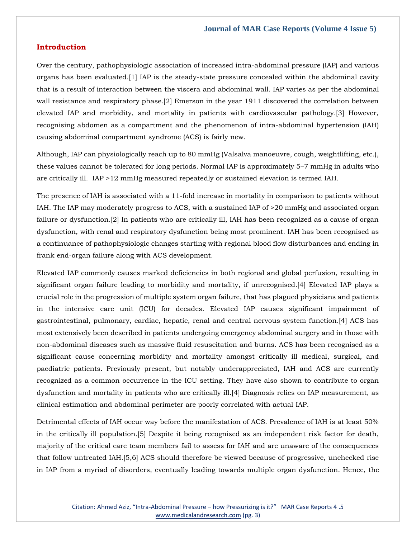### **Introduction**

Over the century, pathophysiologic association of increased intra-abdominal pressure (IAP) and various organs has been evaluated.[1] IAP is the steady-state pressure concealed within the abdominal cavity that is a result of interaction between the viscera and abdominal wall. IAP varies as per the abdominal wall resistance and respiratory phase.[2] Emerson in the year 1911 discovered the correlation between elevated IAP and morbidity, and mortality in patients with cardiovascular pathology.[3] However, recognising abdomen as a compartment and the phenomenon of intra-abdominal hypertension (IAH) causing abdominal compartment syndrome (ACS) is fairly new.

Although, IAP can physiologically reach up to 80 mmHg (Valsalva manoeuvre, cough, weightlifting, etc.), these values cannot be tolerated for long periods. Normal IAP is approximately 5–7 mmHg in adults who are critically ill. IAP >12 mmHg measured repeatedly or sustained elevation is termed IAH.

The presence of IAH is associated with a 11-fold increase in mortality in comparison to patients without IAH. The IAP may moderately progress to ACS, with a sustained IAP of >20 mmHg and associated organ failure or dysfunction.[2] In patients who are critically ill, IAH has been recognized as a cause of organ dysfunction, with renal and respiratory dysfunction being most prominent. IAH has been recognised as a continuance of pathophysiologic changes starting with regional blood flow disturbances and ending in frank end-organ failure along with ACS development.

Elevated IAP commonly causes marked deficiencies in both regional and global perfusion, resulting in significant organ failure leading to morbidity and mortality, if unrecognised.[4] Elevated IAP plays a crucial role in the progression of multiple system organ failure, that has plagued physicians and patients in the intensive care unit (ICU) for decades. Elevated IAP causes significant impairment of gastrointestinal, pulmonary, cardiac, hepatic, renal and central nervous system function.[4] ACS has most extensively been described in patients undergoing emergency abdominal surgery and in those with non-abdominal diseases such as massive fluid resuscitation and burns. ACS has been recognised as a significant cause concerning morbidity and mortality amongst critically ill medical, surgical, and paediatric patients. Previously present, but notably underappreciated, IAH and ACS are currently recognized as a common occurrence in the ICU setting. They have also shown to contribute to organ dysfunction and mortality in patients who are critically ill.[4] Diagnosis relies on IAP measurement, as clinical estimation and abdominal perimeter are poorly correlated with actual IAP.

Detrimental effects of IAH occur way before the manifestation of ACS. Prevalence of IAH is at least 50% in the critically ill population.[5] Despite it being recognised as an independent risk factor for death, majority of the critical care team members fail to assess for IAH and are unaware of the consequences that follow untreated IAH.[5,6] ACS should therefore be viewed because of progressive, unchecked rise in IAP from a myriad of disorders, eventually leading towards multiple organ dysfunction. Hence, the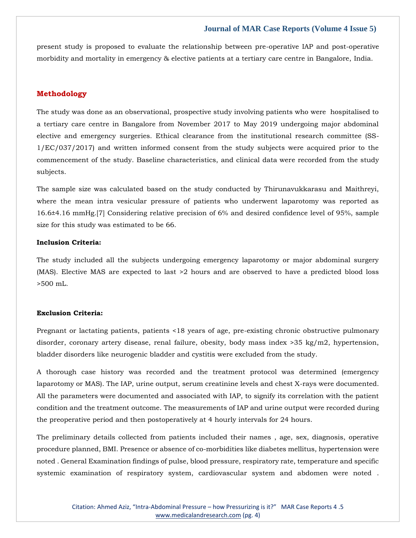present study is proposed to evaluate the relationship between pre-operative IAP and post-operative morbidity and mortality in emergency & elective patients at a tertiary care centre in Bangalore, India.

## **Methodology**

The study was done as an observational, prospective study involving patients who were hospitalised to a tertiary care centre in Bangalore from November 2017 to May 2019 undergoing major abdominal elective and emergency surgeries. Ethical clearance from the institutional research committee (SS-1/EC/037/2017) and written informed consent from the study subjects were acquired prior to the commencement of the study. Baseline characteristics, and clinical data were recorded from the study subjects.

The sample size was calculated based on the study conducted by Thirunavukkarasu and Maithreyi, where the mean intra vesicular pressure of patients who underwent laparotomy was reported as 16.6±4.16 mmHg.[7] Considering relative precision of 6% and desired confidence level of 95%, sample size for this study was estimated to be 66.

### **Inclusion Criteria:**

The study included all the subjects undergoing emergency laparotomy or major abdominal surgery (MAS). Elective MAS are expected to last >2 hours and are observed to have a predicted blood loss >500 mL.

### **Exclusion Criteria:**

Pregnant or lactating patients, patients <18 years of age, pre-existing chronic obstructive pulmonary disorder, coronary artery disease, renal failure, obesity, body mass index >35 kg/m2, hypertension, bladder disorders like neurogenic bladder and cystitis were excluded from the study.

A thorough case history was recorded and the treatment protocol was determined (emergency laparotomy or MAS). The IAP, urine output, serum creatinine levels and chest X-rays were documented. All the parameters were documented and associated with IAP, to signify its correlation with the patient condition and the treatment outcome. The measurements of IAP and urine output were recorded during the preoperative period and then postoperatively at 4 hourly intervals for 24 hours.

The preliminary details collected from patients included their names , age, sex, diagnosis, operative procedure planned, BMI. Presence or absence of co-morbidities like diabetes mellitus, hypertension were noted . General Examination findings of pulse, blood pressure, respiratory rate, temperature and specific systemic examination of respiratory system, cardiovascular system and abdomen were noted .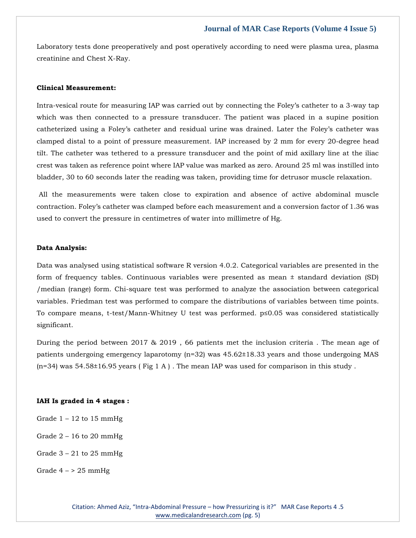Laboratory tests done preoperatively and post operatively according to need were plasma urea, plasma creatinine and Chest X-Ray.

#### **Clinical Measurement:**

Intra-vesical route for measuring IAP was carried out by connecting the Foley's catheter to a 3-way tap which was then connected to a pressure transducer. The patient was placed in a supine position catheterized using a Foley's catheter and residual urine was drained. Later the Foley's catheter was clamped distal to a point of pressure measurement. IAP increased by 2 mm for every 20-degree head tilt. The catheter was tethered to a pressure transducer and the point of mid axillary line at the iliac crest was taken as reference point where IAP value was marked as zero. Around 25 ml was instilled into bladder, 30 to 60 seconds later the reading was taken, providing time for detrusor muscle relaxation.

All the measurements were taken close to expiration and absence of active abdominal muscle contraction. Foley's catheter was clamped before each measurement and a conversion factor of 1.36 was used to convert the pressure in centimetres of water into millimetre of Hg.

#### **Data Analysis:**

Data was analysed using statistical software R version 4.0.2. Categorical variables are presented in the form of frequency tables. Continuous variables were presented as mean ± standard deviation (SD) /median (range) form. Chi-square test was performed to analyze the association between categorical variables. Friedman test was performed to compare the distributions of variables between time points. To compare means, t-test/Mann-Whitney U test was performed. p≤0.05 was considered statistically significant.

During the period between 2017 & 2019 , 66 patients met the inclusion criteria . The mean age of patients undergoing emergency laparotomy (n=32) was 45.62±18.33 years and those undergoing MAS  $(n=34)$  was 54.58±16.95 years (Fig 1 A). The mean IAP was used for comparison in this study.

#### **IAH Is graded in 4 stages :**

- Grade  $1 12$  to 15 mmHg
- Grade  $2 16$  to 20 mmHg
- Grade  $3 21$  to  $25$  mmHg
- Grade  $4 > 25$  mmHg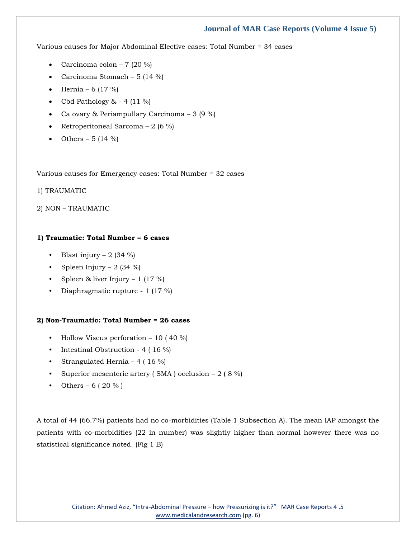Various causes for Major Abdominal Elective cases: Total Number = 34 cases

- Carcinoma colon 7 (20 %)
- Carcinoma Stomach 5 (14 %)
- Hernia 6 (17 %)
- Cbd Pathology  $& 4 (11 \%)$
- Ca ovary & Periampullary Carcinoma 3 (9 %)
- Retroperitoneal Sarcoma 2 (6 %)
- Others 5 (14 %)

Various causes for Emergency cases: Total Number = 32 cases

1) TRAUMATIC

2) NON – TRAUMATIC

#### **1) Traumatic: Total Number = 6 cases**

- Blast injury  $2$  (34 %)
- Spleen Injury 2  $(34 \%)$
- Spleen & liver Injury 1 (17 %)
- Diaphragmatic rupture 1 (17 %)

#### **2) Non-Traumatic: Total Number = 26 cases**

- Hollow Viscus perforation  $-10$  (40 %)
- Intestinal Obstruction 4 (16 %)
- Strangulated Hernia 4 ( $16\%$ )
- Superior mesenteric artery (SMA) occlusion  $-2$  (8 %)
- Others 6 ( 20 % )

A total of 44 (66.7%) patients had no co-morbidities (Table 1 Subsection A). The mean IAP amongst the patients with co-morbidities (22 in number) was slightly higher than normal however there was no statistical significance noted. (Fig 1 B)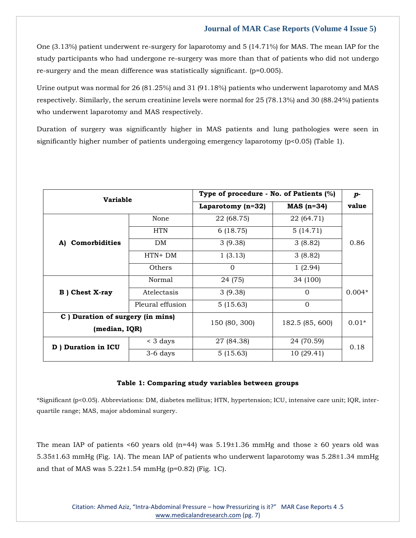One (3.13%) patient underwent re-surgery for laparotomy and 5 (14.71%) for MAS. The mean IAP for the study participants who had undergone re-surgery was more than that of patients who did not undergo re-surgery and the mean difference was statistically significant. (p=0.005).

Urine output was normal for 26 (81.25%) and 31 (91.18%) patients who underwent laparotomy and MAS respectively. Similarly, the serum creatinine levels were normal for 25 (78.13%) and 30 (88.24%) patients who underwent laparotomy and MAS respectively.

Duration of surgery was significantly higher in MAS patients and lung pathologies were seen in significantly higher number of patients undergoing emergency laparotomy (p<0.05) (Table 1).

| <b>Variable</b>                   |                  | Type of procedure - No. of Patients (%) |                 | $p-$     |
|-----------------------------------|------------------|-----------------------------------------|-----------------|----------|
|                                   |                  | Laparotomy (n=32)                       | $MAS (n=34)$    | value    |
| A) Comorbidities                  | None             | 22 (68.75)                              | 22 (64.71)      | 0.86     |
|                                   | <b>HTN</b>       | 6(18.75)                                | 5(14.71)        |          |
|                                   | DM               | 3(9.38)                                 | 3(8.82)         |          |
|                                   | $HTN+DM$         | 1(3.13)                                 | 3(8.82)         |          |
|                                   | Others           | $\Omega$                                | 1(2.94)         |          |
| <b>B</b> ) Chest X-ray            | Normal           | 24 (75)                                 | 34 (100)        | $0.004*$ |
|                                   | Atelectasis      | 3(9.38)                                 | $\Omega$        |          |
|                                   | Pleural effusion | 5(15.63)                                | $\Omega$        |          |
| C ) Duration of surgery (in mins) |                  | 150 (80, 300)                           | 182.5 (85, 600) | $0.01*$  |
| (median, IQR)                     |                  |                                         |                 |          |
| D ) Duration in ICU               | $\leq$ 3 days    | 27 (84.38)                              | 24 (70.59)      | 0.18     |
|                                   | 3-6 days         | 5(15.63)                                | 10(29.41)       |          |

### **Table 1: Comparing study variables between groups**

\*Significant (p<0.05). Abbreviations: DM, diabetes mellitus; HTN, hypertension; ICU, intensive care unit; IQR, interquartile range; MAS, major abdominal surgery.

The mean IAP of patients <60 years old (n=44) was  $5.19\pm1.36$  mmHg and those  $\geq 60$  years old was 5.35±1.63 mmHg (Fig. 1A). The mean IAP of patients who underwent laparotomy was 5.28±1.34 mmHg and that of MAS was 5.22±1.54 mmHg (p=0.82) (Fig. 1C).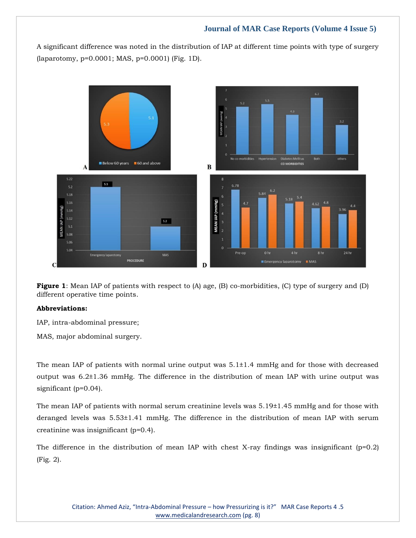A significant difference was noted in the distribution of IAP at different time points with type of surgery (laparotomy, p=0.0001; MAS, p=0.0001) (Fig. 1D).



**Figure 1**: Mean IAP of patients with respect to (A) age, (B) co-morbidities, (C) type of surgery and (D) different operative time points.

### **Abbreviations:**

IAP, intra-abdominal pressure;

MAS, major abdominal surgery.

The mean IAP of patients with normal urine output was  $5.1\pm1.4$  mmHg and for those with decreased output was 6.2±1.36 mmHg. The difference in the distribution of mean IAP with urine output was significant (p=0.04).

The mean IAP of patients with normal serum creatinine levels was 5.19±1.45 mmHg and for those with deranged levels was 5.53±1.41 mmHg. The difference in the distribution of mean IAP with serum creatinine was insignificant (p=0.4).

The difference in the distribution of mean IAP with chest X-ray findings was insignificant  $(p=0.2)$ (Fig. 2).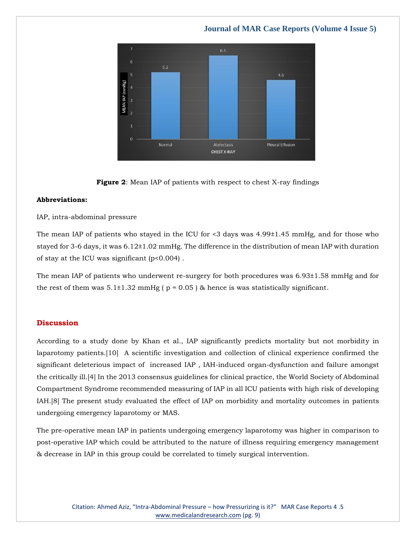# $6.5$ 6  $5.2$  $4.6$ **MEAN IAP** Normal Atelectasis **Pleural Effusion CHEST X-RAY**

# **Journal of MAR Case Reports (Volume 4 Issue 5)**



### **Abbreviations:**

### IAP, intra-abdominal pressure

The mean IAP of patients who stayed in the ICU for <3 days was 4.99±1.45 mmHg, and for those who stayed for 3-6 days, it was 6.12±1.02 mmHg. The difference in the distribution of mean IAP with duration of stay at the ICU was significant (p<0.004) .

The mean IAP of patients who underwent re-surgery for both procedures was 6.93±1.58 mmHg and for the rest of them was  $5.1\pm1.32$  mmHg ( $p = 0.05$ ) & hence is was statistically significant.

## **Discussion**

According to a study done by Khan et al., IAP significantly predicts mortality but not morbidity in laparotomy patients.[10] A scientific investigation and collection of clinical experience confirmed the significant deleterious impact of increased IAP , IAH-induced organ-dysfunction and failure amongst the critically ill.[4] In the 2013 consensus guidelines for clinical practice, the World Society of Abdominal Compartment Syndrome recommended measuring of IAP in all ICU patients with high risk of developing IAH.[8] The present study evaluated the effect of IAP on morbidity and mortality outcomes in patients undergoing emergency laparotomy or MAS.

The pre-operative mean IAP in patients undergoing emergency laparotomy was higher in comparison to post-operative IAP which could be attributed to the nature of illness requiring emergency management & decrease in IAP in this group could be correlated to timely surgical intervention.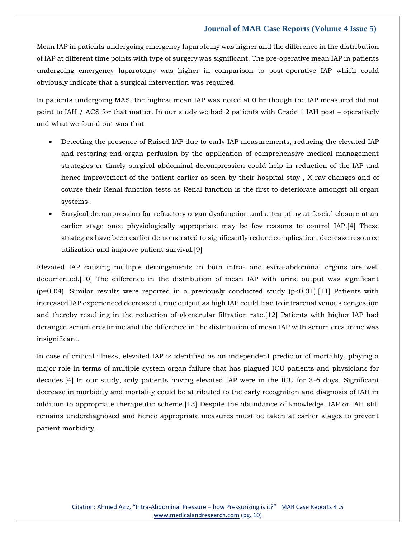Mean IAP in patients undergoing emergency laparotomy was higher and the difference in the distribution of IAP at different time points with type of surgery was significant. The pre-operative mean IAP in patients undergoing emergency laparotomy was higher in comparison to post-operative IAP which could obviously indicate that a surgical intervention was required.

In patients undergoing MAS, the highest mean IAP was noted at 0 hr though the IAP measured did not point to IAH / ACS for that matter. In our study we had 2 patients with Grade 1 IAH post – operatively and what we found out was that

- Detecting the presence of Raised IAP due to early IAP measurements, reducing the elevated IAP and restoring end-organ perfusion by the application of comprehensive medical management strategies or timely surgical abdominal decompression could help in reduction of the IAP and hence improvement of the patient earlier as seen by their hospital stay , X ray changes and of course their Renal function tests as Renal function is the first to deteriorate amongst all organ systems .
- Surgical decompression for refractory organ dysfunction and attempting at fascial closure at an earlier stage once physiologically appropriate may be few reasons to control IAP.[4] These strategies have been earlier demonstrated to significantly reduce complication, decrease resource utilization and improve patient survival.[9]

Elevated IAP causing multiple derangements in both intra- and extra-abdominal organs are well documented.[10] The difference in the distribution of mean IAP with urine output was significant (p=0.04). Similar results were reported in a previously conducted study (p<0.01).[11] Patients with increased IAP experienced decreased urine output as high IAP could lead to intrarenal venous congestion and thereby resulting in the reduction of glomerular filtration rate.[12] Patients with higher IAP had deranged serum creatinine and the difference in the distribution of mean IAP with serum creatinine was insignificant.

In case of critical illness, elevated IAP is identified as an independent predictor of mortality, playing a major role in terms of multiple system organ failure that has plagued ICU patients and physicians for decades.[4] In our study, only patients having elevated IAP were in the ICU for 3-6 days. Significant decrease in morbidity and mortality could be attributed to the early recognition and diagnosis of IAH in addition to appropriate therapeutic scheme.[13] Despite the abundance of knowledge, IAP or IAH still remains underdiagnosed and hence appropriate measures must be taken at earlier stages to prevent patient morbidity.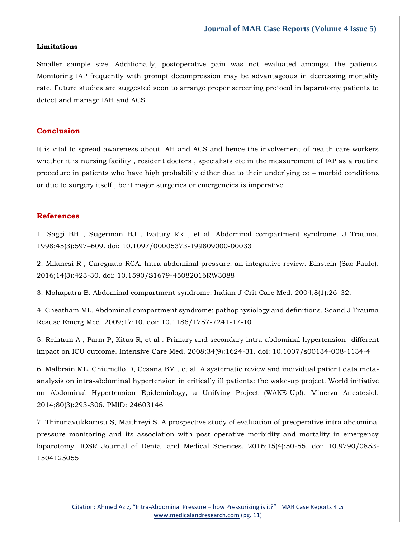#### **Limitations**

Smaller sample size. Additionally, postoperative pain was not evaluated amongst the patients. Monitoring IAP frequently with prompt decompression may be advantageous in decreasing mortality rate. Future studies are suggested soon to arrange proper screening protocol in laparotomy patients to detect and manage IAH and ACS.

### **Conclusion**

It is vital to spread awareness about IAH and ACS and hence the involvement of health care workers whether it is nursing facility , resident doctors , specialists etc in the measurement of IAP as a routine procedure in patients who have high probability either due to their underlying co – morbid conditions or due to surgery itself , be it major surgeries or emergencies is imperative.

#### **References**

1. [Saggi BH , Sugerman HJ , Ivatury RR , et al. Abdominal compartment syndrome. J Trauma.](https://www.google.com/search?q=Abdominal+compartment+syndrome.+J+Trauma&sxsrf=APq-WBscTQ7XbDfFaQcePWrew5eAmdNTqw%3A1647926776459&ei=-F05YtbDG-jYz7sP686hmAM&ved=0ahUKEwjWn4HR_dj2AhVo7HMBHWtnCDMQ4dUDCA4&oq=Abdominal+compartment+syndrome.+J+Trauma&gs_lcp=Cgdnd3Mtd2l6EAwyBwghEAoQoAEyBwghEAoQoAE6BwgjEOoCECdKBAhBGABKBAhGGABQlgRYlgRgyw1oAXAAeACAAZMDiAGTA5IBAzQtMZgBAKABAaABArABCsABAQ&sclient=gws-wiz)  1998;45(3):597–[609. doi: 10.1097/00005373-199809000-00033](https://www.google.com/search?q=Abdominal+compartment+syndrome.+J+Trauma&sxsrf=APq-WBscTQ7XbDfFaQcePWrew5eAmdNTqw%3A1647926776459&ei=-F05YtbDG-jYz7sP686hmAM&ved=0ahUKEwjWn4HR_dj2AhVo7HMBHWtnCDMQ4dUDCA4&oq=Abdominal+compartment+syndrome.+J+Trauma&gs_lcp=Cgdnd3Mtd2l6EAwyBwghEAoQoAEyBwghEAoQoAE6BwgjEOoCECdKBAhBGABKBAhGGABQlgRYlgRgyw1oAXAAeACAAZMDiAGTA5IBAzQtMZgBAKABAaABArABCsABAQ&sclient=gws-wiz)

2. [Milanesi R , Caregnato RCA. Intra-abdominal pressure: an integrative review. Einstein \(Sao Paulo\).](https://www.google.com/search?q=.+Intra-abdominal+pressure%3A+an+integrative+review.+&sxsrf=APq-WBuSJsUtK5S7K1q6YhqcgdfdibjsCg%3A1647929782405&ei=tmk5YpWsGP_az7sPqsGRiAc&ved=0ahUKEwiV363qiNn2AhV_7XMBHapgBHEQ4dUDCA4&oq=.+Intra-abdominal+pressure%3A+an+integrative+review.+&gs_lcp=Cgdnd3Mtd2l6EAwyBggAEBYQHjoHCCMQ6gIQJ0oECEEYAEoECEYYAFCxAVixAWDOCGgBcAF4AIABY4gBY5IBATGYAQCgAQGgAQKwAQrAAQE&sclient=gws-wiz)  [2016;14\(3\):423-30. doi: 10.1590/S1679-45082016RW3088](https://www.google.com/search?q=.+Intra-abdominal+pressure%3A+an+integrative+review.+&sxsrf=APq-WBuSJsUtK5S7K1q6YhqcgdfdibjsCg%3A1647929782405&ei=tmk5YpWsGP_az7sPqsGRiAc&ved=0ahUKEwiV363qiNn2AhV_7XMBHapgBHEQ4dUDCA4&oq=.+Intra-abdominal+pressure%3A+an+integrative+review.+&gs_lcp=Cgdnd3Mtd2l6EAwyBggAEBYQHjoHCCMQ6gIQJ0oECEEYAEoECEYYAFCxAVixAWDOCGgBcAF4AIABY4gBY5IBATGYAQCgAQGgAQKwAQrAAQE&sclient=gws-wiz)

3. [Mohapatra B. Abdominal compartment syndrome. Indian J Crit Care Med. 2004;8\(1\):26](https://www.google.com/search?q=Abdominal+compartment+syndrome.+&sxsrf=APq-WBvsmRu53dIoB6rfE1bNapRz3kQlHw%3A1647929797639&ei=xWk5YqfLJsHez7sPn6aOwAY&ved=0ahUKEwjnwc_xiNn2AhVB73MBHR-TA2gQ4dUDCA4&oq=Abdominal+compartment+syndrome.+&gs_lcp=Cgdnd3Mtd2l6EAwyBAgjECcyBggAEBYQHjIGCAAQFhAeMgYIABAWEB4yBggAEBYQHjIGCAAQFhAeMgYIABAWEB4yBggAEBYQHjIGCAAQFhAeMgYIABAWEB46BwgjEOoCECdKBAhBGABKBAhGGABQswFYswFg1ghoAXABeACAAWOIAWOSAQExmAEAoAEBoAECsAEKwAEB&sclient=gws-wiz)–32.

4. [Cheatham ML. Abdominal compartment syndrome: pathophysiology and definitions. Scand J Trauma](https://www.google.com/search?q=Abdominal+compartment+syndrome%3A+pathophysiology+and+definitions.+&sxsrf=APq-WBupRJuuovlC3wAdsP8u6vjcniwujg%3A1647929811519&ei=02k5YoCYH5PD3LUPt4G-0As&ved=0ahUKEwjAzZ74iNn2AhWTIbcAHbeAD7oQ4dUDCA4&oq=Abdominal+compartment+syndrome%3A+pathophysiology+and+definitions.+&gs_lcp=Cgdnd3Mtd2l6EAw6BwgjEOoCECdKBAhBGABKBAhGGABQb1hvYIQJaAFwAXgAgAFjiAFjkgEBMZgBAKABAaABArABCsABAQ&sclient=gws-wiz)  [Resusc Emerg Med. 2009;17:10. doi: 10.1186/1757-7241-17-10](https://www.google.com/search?q=Abdominal+compartment+syndrome%3A+pathophysiology+and+definitions.+&sxsrf=APq-WBupRJuuovlC3wAdsP8u6vjcniwujg%3A1647929811519&ei=02k5YoCYH5PD3LUPt4G-0As&ved=0ahUKEwjAzZ74iNn2AhWTIbcAHbeAD7oQ4dUDCA4&oq=Abdominal+compartment+syndrome%3A+pathophysiology+and+definitions.+&gs_lcp=Cgdnd3Mtd2l6EAw6BwgjEOoCECdKBAhBGABKBAhGGABQb1hvYIQJaAFwAXgAgAFjiAFjkgEBMZgBAKABAaABArABCsABAQ&sclient=gws-wiz)

5. [Reintam A , Parm P, Kitus R, et al . Primary and secondary intra-abdominal hypertension--different](https://www.google.com/search?q=Primary+and+secondary+intra-abdominal+hypertension--different+impact+on+ICU+outcome.+&sxsrf=APq-WBsUr9GZleuEF-yqJevBEgmrWZ3r4Q%3A1647929827147&ei=42k5Yoy6CIvgz7sPibq72A4&ved=0ahUKEwjMt9j_iNn2AhUL8HMBHQndDusQ4dUDCA4&oq=Primary+and+secondary+intra-abdominal+hypertension--different+impact+on+ICU+outcome.+&gs_lcp=Cgdnd3Mtd2l6EAw6BwgjEOoCECdKBAhBGABKBAhGGABQlQFYlQFggQhoAXABeACAAXKIAXKSAQMwLjGYAQCgAQGgAQKwAQrAAQE&sclient=gws-wiz)  [impact on ICU outcome. Intensive Care Med. 2008;34\(9\):1624-31. doi: 10.1007/s00134-008-1134-4](https://www.google.com/search?q=Primary+and+secondary+intra-abdominal+hypertension--different+impact+on+ICU+outcome.+&sxsrf=APq-WBsUr9GZleuEF-yqJevBEgmrWZ3r4Q%3A1647929827147&ei=42k5Yoy6CIvgz7sPibq72A4&ved=0ahUKEwjMt9j_iNn2AhUL8HMBHQndDusQ4dUDCA4&oq=Primary+and+secondary+intra-abdominal+hypertension--different+impact+on+ICU+outcome.+&gs_lcp=Cgdnd3Mtd2l6EAw6BwgjEOoCECdKBAhBGABKBAhGGABQlQFYlQFggQhoAXABeACAAXKIAXKSAQMwLjGYAQCgAQGgAQKwAQrAAQE&sclient=gws-wiz)

6. [Malbrain ML, Chiumello D, Cesana BM , et al. A systematic review and individual patient data meta](https://www.google.com/search?q=A+systematic+review+and+individual+patient+data+meta-analysis+on+intra-abdominal+hypertension+in+critically+ill+patients%3A+the+wake-up+project&sxsrf=APq-WBt8Ssu0oNGnz-RUblKVP8Blsswbhw%3A1647929841833&ei=8Wk5YvCuMvfZz7sP1uC_yAc&ved=0ahUKEwiw69iGidn2AhX37HMBHVbwD3kQ4dUDCA4&oq=A+systematic+review+and+individual+patient+data+meta-analysis+on+intra-abdominal+hypertension+in+critically+ill+patients%3A+the+wake-up+project&gs_lcp=Cgdnd3Mtd2l6EAwyBwgjEOoCECcyBwgjEOoCECcyBwgjEOoCECcyBwgjEOoCECcyBwgjEOoCECcyBwgjEOoCECcyBwgjEOoCECcyBwgjEOoCECcyBwgjEOoCECcyBwgjEOoCECdKBAhBGABKBAhGGABQxQJYxQJglghoAXAAeACAAQCIAQCSAQCYAQCgAQGgAQKwAQrAAQE&sclient=gws-wiz)[analysis on intra-abdominal hypertension in critically ill patients: the](https://www.google.com/search?q=A+systematic+review+and+individual+patient+data+meta-analysis+on+intra-abdominal+hypertension+in+critically+ill+patients%3A+the+wake-up+project&sxsrf=APq-WBt8Ssu0oNGnz-RUblKVP8Blsswbhw%3A1647929841833&ei=8Wk5YvCuMvfZz7sP1uC_yAc&ved=0ahUKEwiw69iGidn2AhX37HMBHVbwD3kQ4dUDCA4&oq=A+systematic+review+and+individual+patient+data+meta-analysis+on+intra-abdominal+hypertension+in+critically+ill+patients%3A+the+wake-up+project&gs_lcp=Cgdnd3Mtd2l6EAwyBwgjEOoCECcyBwgjEOoCECcyBwgjEOoCECcyBwgjEOoCECcyBwgjEOoCECcyBwgjEOoCECcyBwgjEOoCECcyBwgjEOoCECcyBwgjEOoCECcyBwgjEOoCECdKBAhBGABKBAhGGABQxQJYxQJglghoAXAAeACAAQCIAQCSAQCYAQCgAQGgAQKwAQrAAQE&sclient=gws-wiz) wake-up project. World initiative [on Abdominal Hypertension Epidemiology, a Unifying Project \(WAKE-Up!\). Minerva Anestesiol.](https://www.google.com/search?q=A+systematic+review+and+individual+patient+data+meta-analysis+on+intra-abdominal+hypertension+in+critically+ill+patients%3A+the+wake-up+project&sxsrf=APq-WBt8Ssu0oNGnz-RUblKVP8Blsswbhw%3A1647929841833&ei=8Wk5YvCuMvfZz7sP1uC_yAc&ved=0ahUKEwiw69iGidn2AhX37HMBHVbwD3kQ4dUDCA4&oq=A+systematic+review+and+individual+patient+data+meta-analysis+on+intra-abdominal+hypertension+in+critically+ill+patients%3A+the+wake-up+project&gs_lcp=Cgdnd3Mtd2l6EAwyBwgjEOoCECcyBwgjEOoCECcyBwgjEOoCECcyBwgjEOoCECcyBwgjEOoCECcyBwgjEOoCECcyBwgjEOoCECcyBwgjEOoCECcyBwgjEOoCECcyBwgjEOoCECdKBAhBGABKBAhGGABQxQJYxQJglghoAXAAeACAAQCIAQCSAQCYAQCgAQGgAQKwAQrAAQE&sclient=gws-wiz)  [2014;80\(3\):293-306. PMID: 24603146](https://www.google.com/search?q=A+systematic+review+and+individual+patient+data+meta-analysis+on+intra-abdominal+hypertension+in+critically+ill+patients%3A+the+wake-up+project&sxsrf=APq-WBt8Ssu0oNGnz-RUblKVP8Blsswbhw%3A1647929841833&ei=8Wk5YvCuMvfZz7sP1uC_yAc&ved=0ahUKEwiw69iGidn2AhX37HMBHVbwD3kQ4dUDCA4&oq=A+systematic+review+and+individual+patient+data+meta-analysis+on+intra-abdominal+hypertension+in+critically+ill+patients%3A+the+wake-up+project&gs_lcp=Cgdnd3Mtd2l6EAwyBwgjEOoCECcyBwgjEOoCECcyBwgjEOoCECcyBwgjEOoCECcyBwgjEOoCECcyBwgjEOoCECcyBwgjEOoCECcyBwgjEOoCECcyBwgjEOoCECcyBwgjEOoCECdKBAhBGABKBAhGGABQxQJYxQJglghoAXAAeACAAQCIAQCSAQCYAQCgAQGgAQKwAQrAAQE&sclient=gws-wiz)

7. [Thirunavukkarasu S, Maithreyi S. A prospective study of evaluation of preoperative intra abdominal](https://www.google.com/search?q=A+prospective+study+of+evaluation+of+preoperative+intra+abdominal+pressure+monitoring+and+its+association+with+post+operative+morbidity+and+mortality+in+emergency+laparotomy.+&sxsrf=APq-WBuqfOmfYwusaf6xTCjchNIjmiSYRw%3A1647929860144&ei=BGo5Yo6zCPXD3LUPuJiQ6AE&ved=0ahUKEwiOxbaPidn2AhX1IbcAHTgMBB0Q4dUDCA4&oq=A+prospective+study+of+evaluation+of+preoperative+intra+abdominal+pressure+monitoring+and+its+association+with+post+operative+morbidity+and+mortality+in+emergency+laparotomy.+&gs_lcp=Cgdnd3Mtd2l6EAwyBwgjEOoCECcyBwgjEOoCECcyBwgjEOoCECcyBwgjEOoCECcyBwgjEOoCECcyBwgjEOoCECcyBwgjEOoCECcyBwgjEOoCECcyBwgjEOoCECcyBwgjEOoCECdKBAhBGABKBAhGGABQvwJYvwJggwdoAXAAeACAAQCIAQCSAQCYAQCgAQGgAQKwAQrAAQE&sclient=gws-wiz)  [pressure monitoring and its association with post operative morbidity and mortality in emergency](https://www.google.com/search?q=A+prospective+study+of+evaluation+of+preoperative+intra+abdominal+pressure+monitoring+and+its+association+with+post+operative+morbidity+and+mortality+in+emergency+laparotomy.+&sxsrf=APq-WBuqfOmfYwusaf6xTCjchNIjmiSYRw%3A1647929860144&ei=BGo5Yo6zCPXD3LUPuJiQ6AE&ved=0ahUKEwiOxbaPidn2AhX1IbcAHTgMBB0Q4dUDCA4&oq=A+prospective+study+of+evaluation+of+preoperative+intra+abdominal+pressure+monitoring+and+its+association+with+post+operative+morbidity+and+mortality+in+emergency+laparotomy.+&gs_lcp=Cgdnd3Mtd2l6EAwyBwgjEOoCECcyBwgjEOoCECcyBwgjEOoCECcyBwgjEOoCECcyBwgjEOoCECcyBwgjEOoCECcyBwgjEOoCECcyBwgjEOoCECcyBwgjEOoCECcyBwgjEOoCECdKBAhBGABKBAhGGABQvwJYvwJggwdoAXAAeACAAQCIAQCSAQCYAQCgAQGgAQKwAQrAAQE&sclient=gws-wiz)  [laparotomy. IOSR Journal of Dental and Medical Sciences. 2016;15\(4\):50-55. doi: 10.9790/0853-](https://www.google.com/search?q=A+prospective+study+of+evaluation+of+preoperative+intra+abdominal+pressure+monitoring+and+its+association+with+post+operative+morbidity+and+mortality+in+emergency+laparotomy.+&sxsrf=APq-WBuqfOmfYwusaf6xTCjchNIjmiSYRw%3A1647929860144&ei=BGo5Yo6zCPXD3LUPuJiQ6AE&ved=0ahUKEwiOxbaPidn2AhX1IbcAHTgMBB0Q4dUDCA4&oq=A+prospective+study+of+evaluation+of+preoperative+intra+abdominal+pressure+monitoring+and+its+association+with+post+operative+morbidity+and+mortality+in+emergency+laparotomy.+&gs_lcp=Cgdnd3Mtd2l6EAwyBwgjEOoCECcyBwgjEOoCECcyBwgjEOoCECcyBwgjEOoCECcyBwgjEOoCECcyBwgjEOoCECcyBwgjEOoCECcyBwgjEOoCECcyBwgjEOoCECcyBwgjEOoCECdKBAhBGABKBAhGGABQvwJYvwJggwdoAXAAeACAAQCIAQCSAQCYAQCgAQGgAQKwAQrAAQE&sclient=gws-wiz) [1504125055](https://www.google.com/search?q=A+prospective+study+of+evaluation+of+preoperative+intra+abdominal+pressure+monitoring+and+its+association+with+post+operative+morbidity+and+mortality+in+emergency+laparotomy.+&sxsrf=APq-WBuqfOmfYwusaf6xTCjchNIjmiSYRw%3A1647929860144&ei=BGo5Yo6zCPXD3LUPuJiQ6AE&ved=0ahUKEwiOxbaPidn2AhX1IbcAHTgMBB0Q4dUDCA4&oq=A+prospective+study+of+evaluation+of+preoperative+intra+abdominal+pressure+monitoring+and+its+association+with+post+operative+morbidity+and+mortality+in+emergency+laparotomy.+&gs_lcp=Cgdnd3Mtd2l6EAwyBwgjEOoCECcyBwgjEOoCECcyBwgjEOoCECcyBwgjEOoCECcyBwgjEOoCECcyBwgjEOoCECcyBwgjEOoCECcyBwgjEOoCECcyBwgjEOoCECcyBwgjEOoCECdKBAhBGABKBAhGGABQvwJYvwJggwdoAXAAeACAAQCIAQCSAQCYAQCgAQGgAQKwAQrAAQE&sclient=gws-wiz)